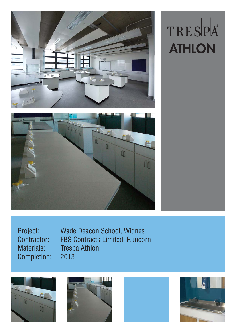

# TRESPA **ATHLON**



Completion: 2013

Project: Wade Deacon School, Widnes Contractor: FBS Contracts Limited, Runcorn Materials: Trespa Athlon